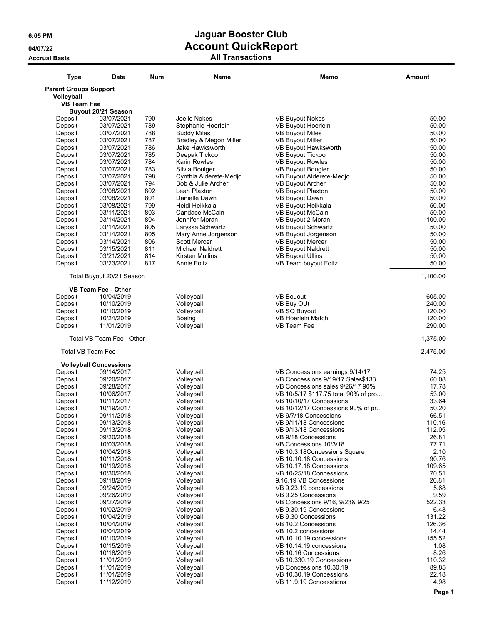| <b>Type</b>                                | <b>Date</b>                   | <b>Num</b> | Name                           | Memo                                               | <b>Amount</b>    |
|--------------------------------------------|-------------------------------|------------|--------------------------------|----------------------------------------------------|------------------|
| <b>Parent Groups Support</b><br>Volleyball |                               |            |                                |                                                    |                  |
| <b>VB Team Fee</b>                         |                               |            |                                |                                                    |                  |
|                                            | Buyout 20/21 Season           |            |                                |                                                    |                  |
| Deposit                                    | 03/07/2021                    | 790        | Joelle Nokes                   | <b>VB Buyout Nokes</b>                             | 50.00            |
| Deposit                                    | 03/07/2021                    | 789        | Stephanie Hoerlein             | VB Buyout Hoerlein                                 | 50.00            |
| Deposit                                    | 03/07/2021                    | 788        | <b>Buddy Miles</b>             | <b>VB Buyout Miles</b>                             | 50.00            |
| Deposit                                    | 03/07/2021                    | 787        | Bradley & Megon Miller         | <b>VB Buyout Miller</b>                            | 50.00            |
| Deposit                                    | 03/07/2021                    | 786<br>785 | Jake Hawksworth                | VB Buyout Hawksworth                               | 50.00            |
| Deposit                                    | 03/07/2021                    | 784        | Deepak Tickoo                  | <b>VB Buyout Tickoo</b><br><b>VB Buyout Rowles</b> | 50.00            |
| Deposit<br>Deposit                         | 03/07/2021<br>03/07/2021      | 783        | Karin Rowles<br>Silvia Boulger | VB Buyout Bougler                                  | 50.00<br>50.00   |
| Deposit                                    | 03/07/2021                    | 798        | Cynthia Alderete-Medjo         | VB Buyout Alderete-Medjo                           | 50.00            |
| Deposit                                    | 03/07/2021                    | 794        | Bob & Julie Archer             | VB Buyout Archer                                   | 50.00            |
| Deposit                                    | 03/08/2021                    | 802        | Leah Plaxton                   | VB Buyout Plaxton                                  | 50.00            |
| Deposit                                    | 03/08/2021                    | 801        | Danielle Dawn                  | VB Buyout Dawn                                     | 50.00            |
| Deposit                                    | 03/08/2021                    | 799        | Heidi Heikkala                 | VB Buyout Heikkala                                 | 50.00            |
| Deposit                                    | 03/11/2021                    | 803        | Candace McCain                 | VB Buyout McCain                                   | 50.00            |
| Deposit                                    | 03/14/2021                    | 804        | Jennifer Moran                 | VB Buyout 2 Moran                                  | 100.00           |
| Deposit                                    | 03/14/2021                    | 805        | Laryssa Schwartz               | VB Buyout Schwartz                                 | 50.00            |
| Deposit                                    | 03/14/2021                    | 805        | Mary Anne Jorgenson            | VB Buyout Jorgenson                                | 50.00            |
| Deposit                                    | 03/14/2021                    | 806        | <b>Scott Mercer</b>            | <b>VB Buyout Mercer</b>                            | 50.00            |
| Deposit                                    | 03/15/2021                    | 811        | <b>Michael Naldrett</b>        | <b>VB Buyout Naldrett</b>                          | 50.00            |
| Deposit                                    | 03/21/2021                    | 814        | <b>Kirsten Mullins</b>         | <b>VB Buyout Ullins</b>                            | 50.00            |
| Deposit                                    | 03/23/2021                    | 817        | <b>Annie Foltz</b>             | VB Team buyout Foltz                               | 50.00            |
|                                            | Total Buyout 20/21 Season     |            |                                |                                                    | 1,100.00         |
|                                            | <b>VB Team Fee - Other</b>    |            |                                |                                                    |                  |
| Deposit                                    | 10/04/2019                    |            | Volleyball                     | <b>VB Bouout</b>                                   | 605.00           |
| Deposit                                    | 10/10/2019                    |            | Volleyball                     | VB Buy OUt                                         | 240.00           |
| Deposit                                    | 10/10/2019                    |            | Volleyball                     | VB SQ Buyout                                       | 120.00           |
| Deposit                                    | 10/24/2019                    |            | Boeing                         | VB Hoerlein Match                                  | 120.00           |
| Deposit                                    | 11/01/2019                    |            | Volleyball                     | VB Team Fee                                        | 290.00           |
|                                            | Total VB Team Fee - Other     |            |                                |                                                    | 1,375.00         |
| <b>Total VB Team Fee</b>                   |                               |            |                                |                                                    | 2,475.00         |
|                                            | <b>Volleyball Concessions</b> |            |                                |                                                    |                  |
| Deposit                                    | 09/14/2017                    |            | Volleyball                     | VB Concessions earnings 9/14/17                    | 74.25            |
| Deposit                                    | 09/20/2017                    |            | Volleyball                     | VB Concessions 9/19/17 Sales\$133                  | 60.08            |
| Deposit                                    | 09/28/2017                    |            | Volleyball                     | VB Concessions sales 9/26/17 90%                   | 17.78            |
| Deposit                                    | 10/06/2017                    |            | Volleyball                     | VB 10/5/17 \$117.75 total 90% of pro               | 53.00            |
| Deposit                                    | 10/11/2017                    |            | Volleyball                     | VB 10/10/17 Concessions                            | 33.64            |
| Deposit                                    | 10/19/2017                    |            | Volleyball                     | VB 10/12/17 Concessions 90% of pr                  | 50.20            |
| Deposit                                    | 09/11/2018                    |            | Volleyball                     | VB 9/7/18 Concessions<br>VB 9/11/18 Concessions    | 66.51            |
| Deposit<br>Deposit                         | 09/13/2018<br>09/13/2018      |            | Volleyball<br>Volleyball       | VB 9/13/18 Concessions                             | 110.16<br>112.05 |
| Deposit                                    | 09/20/2018                    |            | Volleyball                     | VB 9/18 Concessions                                | 26.81            |
| Deposit                                    | 10/03/2018                    |            | Volleyball                     | VB Concessions 10/3/18                             | 77.71            |
| Deposit                                    | 10/04/2018                    |            | Volleyball                     | VB 10.3.18 Concessions Square                      | 2.10             |
| Deposit                                    | 10/11/2018                    |            | Volleyball                     | VB 10.10.18 Concessions                            | 90.76            |
| Deposit                                    | 10/19/2018                    |            | Volleyball                     | VB 10.17.18 Concessions                            | 109.65           |
| Deposit                                    | 10/30/2018                    |            | Volleyball                     | VB 10/25/18 Concessions                            | 70.51            |
| Deposit                                    | 09/18/2019                    |            | Volleyball                     | 9.16.19 VB Concessions                             | 20.81            |
| Deposit                                    | 09/24/2019                    |            | Volleyball                     | VB 9.23.19 concessions                             | 5.68             |
| Deposit                                    | 09/26/2019                    |            | Volleyball                     | VB 9.25 Concessions                                | 9.59             |
| Deposit                                    | 09/27/2019                    |            | Volleyball                     | VB Concessions 9/16, 9/23& 9/25                    | 522.33           |
| Deposit                                    | 10/02/2019                    |            | Volleyball                     | VB 9.30.19 Concessions                             | 6.48             |
| Deposit                                    | 10/04/2019                    |            | Volleyball                     | VB 9.30 Concessions                                | 131.22           |
| Deposit                                    | 10/04/2019                    |            | Volleyball                     | VB 10.2 Concessions                                | 126.36           |
| Deposit                                    | 10/04/2019                    |            | Volleyball                     | VB 10.2 concessions                                | 14.44            |
| Deposit                                    | 10/10/2019                    |            | Volleyball                     | VB 10.10.19 concessions                            | 155.52           |
| Deposit                                    | 10/15/2019                    |            | Volleyball                     | VB 10.14.19 concessions                            | 1.08             |
| Deposit<br>Deposit                         | 10/18/2019<br>11/01/2019      |            | Volleyball<br>Volleyball       | VB 10.16 Concessions<br>VB 10.330.19 Concessions   | 8.26<br>110.32   |
| Deposit                                    | 11/01/2019                    |            | Volleyball                     | VB Concessions 10.30.19                            | 89.85            |
| Deposit                                    | 11/01/2019                    |            | Volleyball                     | VB 10.30.19 Concessions                            | 22.18            |
| Deposit                                    | 11/12/2019                    |            | Volleyball                     | VB 11.9.19 Concesstions                            | 4.98             |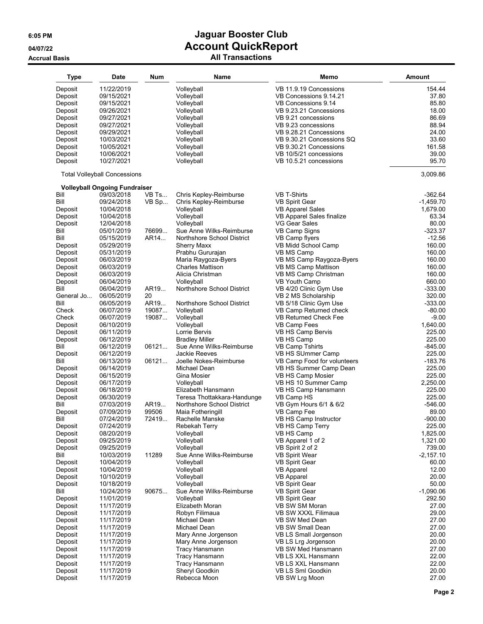| <b>Type</b> | <b>Date</b>                          | Num    | <b>Name</b>                 | Memo                         | <b>Amount</b> |
|-------------|--------------------------------------|--------|-----------------------------|------------------------------|---------------|
| Deposit     | 11/22/2019                           |        | Volleyball                  | VB 11.9.19 Concessions       | 154.44        |
| Deposit     | 09/15/2021                           |        | Volleyball                  | VB Concessions 9.14.21       | 37.80         |
|             |                                      |        |                             |                              |               |
| Deposit     | 09/15/2021                           |        | Volleyball                  | VB Concessions 9.14          | 85.80         |
| Deposit     | 09/26/2021                           |        | Volleyball                  | VB 9.23.21 Concessions       | 18.00         |
| Deposit     | 09/27/2021                           |        | Volleyball                  | VB 9.21 concessions          | 86.69         |
| Deposit     | 09/27/2021                           |        | Volleyball                  | VB 9.23 concessions          | 88.94         |
| Deposit     | 09/29/2021                           |        | Volleyball                  | VB 9.28.21 Concessions       | 24.00         |
| Deposit     | 10/03/2021                           |        | Volleyball                  | VB 9.30.21 Concessions SQ    | 33.60         |
| Deposit     | 10/05/2021                           |        | Volleyball                  | VB 9.30.21 Concessions       | 161.58        |
| Deposit     | 10/06/2021                           |        | Volleyball                  | VB 10/5/21 concessions       | 39.00         |
| Deposit     | 10/27/2021                           |        | Volleyball                  | VB 10.5.21 concessions       | 95.70         |
|             | <b>Total Volleyball Concessions</b>  |        |                             |                              | 3,009.86      |
|             | <b>Volleyball Ongoing Fundraiser</b> |        |                             |                              |               |
| Bill        | 09/03/2018                           | VB Ts  | Chris Kepley-Reimburse      | <b>VB T-Shirts</b>           | $-362.64$     |
| Bill        | 09/24/2018                           | VB Sp  | Chris Kepley-Reimburse      | <b>VB Spirit Gear</b>        | $-1,459.70$   |
| Deposit     | 10/04/2018                           |        | Volleyball                  | <b>VB Apparel Sales</b>      | 1,679.00      |
| Deposit     | 10/04/2018                           |        | Volleyball                  | VB Apparel Sales finalize    | 63.34         |
| Deposit     | 12/04/2018                           |        | Volleyball                  | VG Gear Sales                | 80.00         |
| Bill        | 05/01/2019                           | 76699. | Sue Anne Wilks-Reimburse    | VB Camp Signs                | $-323.37$     |
| Bill        | 05/15/2019                           | AR14   | Northshore School District  | VB Camp flyers               | $-12.56$      |
| Deposit     | 05/29/2019                           |        | <b>Sherry Maxx</b>          | VB Midd School Camp          | 160.00        |
| Deposit     | 05/31/2019                           |        | Prabhu Gururajan            | VB MS Camp                   | 160.00        |
| Deposit     | 06/03/2019                           |        | Maria Raygoza-Byers         | VB MS Camp Raygoza-Byers     | 160.00        |
| Deposit     | 06/03/2019                           |        | <b>Charles Mattison</b>     | VB MS Camp Mattison          | 160.00        |
|             |                                      |        | Alicia Christman            |                              | 160.00        |
| Deposit     | 06/03/2019                           |        |                             | VB MS Camp Christman         |               |
| Deposit     | 06/04/2019                           |        | Volleyball                  | VB Youth Camp                | 660.00        |
| Bill        | 06/04/2019                           | AR19   | Northshore School District  | VB 4/20 Clinic Gym Use       | $-333.00$     |
| General Jo  | 06/05/2019                           | 20     |                             | VB 2 MS Scholarship          | 320.00        |
| Bill        | 06/05/2019                           | AR19   | Northshore School District  | VB 5/18 Clinic Gym Use       | $-333.00$     |
| Check       | 06/07/2019                           | 19087  | Volleyball                  | VB Camp Returned check       | $-80.00$      |
| Check       | 06/07/2019                           | 19087  | Volleyball                  | <b>VB Returned Check Fee</b> | $-9.00$       |
| Deposit     | 06/10/2019                           |        | Volleyball                  | VB Camp Fees                 | 1,640.00      |
| Deposit     | 06/11/2019                           |        | Lorrie Bervis               | VB HS Camp Bervis            | 225.00        |
| Deposit     | 06/12/2019                           |        | <b>Bradley Miller</b>       | VB HS Camp                   | 225.00        |
| Bill        | 06/12/2019                           | 06121  | Sue Anne Wilks-Reimburse    | <b>VB Camp Tshirts</b>       | $-845.00$     |
| Deposit     | 06/12/2019                           |        | Jackie Reeves               | VB HS SUmmer Camp            | 225.00        |
| Bill        | 06/13/2019                           | 06121  | Joelle Nokes-Reimburse      | VB Camp Food for volunteers  | $-183.76$     |
| Deposit     | 06/14/2019                           |        | Michael Dean                | VB HS Summer Camp Dean       | 225.00        |
| Deposit     | 06/15/2019                           |        |                             | VB HS Camp Mosier            | 225.00        |
|             |                                      |        | Gina Mosier                 |                              | 2,250.00      |
| Deposit     | 06/17/2019                           |        | Volleyball                  | VB HS 10 Summer Camp         |               |
| Deposit     | 06/18/2019                           |        | Elizabeth Hansmann          | VB HS Camp Hansmann          | 225.00        |
| Deposit     | 06/30/2019                           |        | Teresa Thottakkara-Handunge | VB Camp HS                   | 225.00        |
| Bill        | 07/03/2019                           | AR19   | Northshore School District  | VB Gym Hours 6/1 & 6/2       | $-546.00$     |
| Deposit     | 07/09/2019                           | 99506  | Maia Fotheringill           | VB Camp Fee                  | 89.00         |
| Bill        | 07/24/2019                           | 72419  | Rachelle Manske             | VB HS Camp Instructor        | $-900.00$     |
| Deposit     | 07/24/2019                           |        | Rebekah Terry               | VB HS Camp Terry             | 225.00        |
| Deposit     | 08/20/2019                           |        | Volleyball                  | VB HS Camp                   | 1,825.00      |
| Deposit     | 09/25/2019                           |        | Volleyball                  | VB Apparel 1 of 2            | 1,321.00      |
| Deposit     | 09/25/2019                           |        | Volleyball                  | VB Spirit 2 of 2             | 739.00        |
| Bill        | 10/03/2019                           | 11289  | Sue Anne Wilks-Reimburse    | <b>VB Spirit Wear</b>        | $-2,157.10$   |
| Deposit     | 10/04/2019                           |        | Volleyball                  | <b>VB Spirit Gear</b>        | 60.00         |
| Deposit     |                                      |        | Volleyball                  | <b>VB Apparel</b>            | 12.00         |
|             | 10/04/2019                           |        |                             |                              |               |
| Deposit     | 10/10/2019                           |        | Volleyball                  | <b>VB Apparel</b>            | 20.00         |
| Deposit     | 10/18/2019                           |        | Volleyball                  | <b>VB Spirit Gear</b>        | 50.00         |
| Bill        | 10/24/2019                           | 90675  | Sue Anne Wilks-Reimburse    | <b>VB Spirit Gear</b>        | $-1,090.06$   |
| Deposit     | 11/01/2019                           |        | Volleyball                  | <b>VB Spirit Gear</b>        | 292.50        |
| Deposit     | 11/17/2019                           |        | Elizabeth Moran             | VB SW SM Moran               | 27.00         |
| Deposit     | 11/17/2019                           |        | Robyn Filimaua              | VB SW XXXL Filimaua          | 29.00         |
| Deposit     | 11/17/2019                           |        | Michael Dean                | VB SW Med Dean               | 27.00         |
| Deposit     | 11/17/2019                           |        | Michael Dean                | VB SW Small Dean             | 27.00         |
| Deposit     | 11/17/2019                           |        | Mary Anne Jorgenson         | VB LS Small Jorgenson        | 20.00         |
| Deposit     | 11/17/2019                           |        | Mary Anne Jorgenson         | VB LS Lrg Jorgenson          | 20.00         |
| Deposit     | 11/17/2019                           |        | <b>Tracy Hansmann</b>       | VB SW Med Hansmann           | 27.00         |
| Deposit     |                                      |        | <b>Tracy Hansmann</b>       | VB LS XXL Hansmann           | 22.00         |
|             | 11/17/2019                           |        |                             |                              |               |
| Deposit     | 11/17/2019                           |        | <b>Tracy Hansmann</b>       | VB LS XXL Hansmann           | 22.00         |
| Deposit     | 11/17/2019                           |        | Sheryl Goodkin              | VB LS Sml Goodkin            | 20.00         |
| Deposit     | 11/17/2019                           |        | Rebecca Moon                | VB SW Lrg Moon               | 27.00         |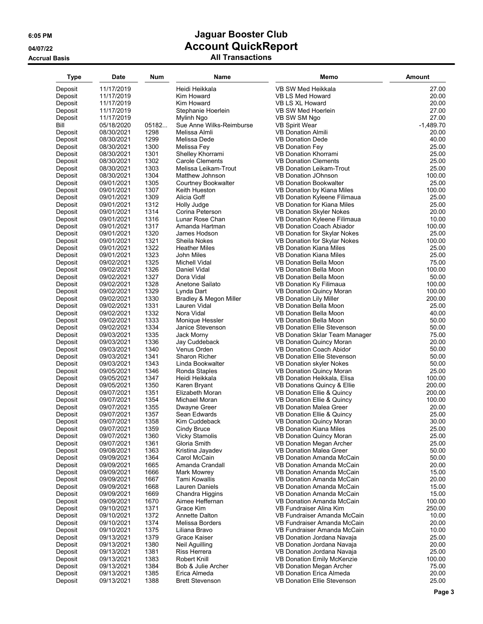| Type    | Date                     | Num   | Name                     | Memo                                                    | <b>Amount</b> |
|---------|--------------------------|-------|--------------------------|---------------------------------------------------------|---------------|
| Deposit | 11/17/2019               |       | Heidi Heikkala           | VB SW Med Heikkala                                      | 27.00         |
| Deposit | 11/17/2019               |       | Kim Howard               | VB LS Med Howard                                        |               |
|         |                          |       |                          |                                                         | 20.00         |
| Deposit | 11/17/2019               |       | Kim Howard               | VB LS XL Howard                                         | 20.00         |
| Deposit | 11/17/2019               |       | Stephanie Hoerlein       | VB SW Med Hoerlein                                      | 27.00         |
| Deposit | 11/17/2019               |       | Mylinh Ngo               | VB SW SM Ngo                                            | 27.00         |
| Bill    | 05/18/2020               | 05182 | Sue Anne Wilks-Reimburse | <b>VB Spirit Wear</b>                                   | $-1,489.70$   |
| Deposit | 08/30/2021               | 1298  | Melissa Almli            | <b>VB Donation Almili</b>                               | 20.00         |
| Deposit | 08/30/2021               | 1299  | Melissa Dede             | <b>VB Donation Dede</b>                                 | 40.00         |
| Deposit | 08/30/2021               | 1300  | Melissa Fey              | <b>VB Donation Fey</b>                                  | 25.00         |
| Deposit | 08/30/2021               | 1301  | Shelley Khorrami         | <b>VB Donation Khorrami</b>                             | 25.00         |
| Deposit | 08/30/2021               | 1302  | <b>Carole Clements</b>   | <b>VB Donation Clements</b>                             | 25.00         |
| Deposit | 08/30/2021               | 1303  | Melissa Leikam-Trout     | <b>VB Donation Leikam-Trout</b>                         | 25.00         |
| Deposit | 08/30/2021               | 1304  | Matthew Johnson          | <b>VB Donation JOhnson</b>                              | 100.00        |
| Deposit | 09/01/2021               | 1305  | Courtney Bookwalter      | <b>VB Donation Bookwalter</b>                           | 25.00         |
| Deposit | 09/01/2021               | 1307  | Keith Hueston            | VB Donation by Kiana Miles                              | 100.00        |
| Deposit | 09/01/2021               | 1309  | Alicia Goff              | VB Donation Kyleene Filimaua                            | 25.00         |
| Deposit | 09/01/2021               | 1312  | Holly Judge              | VB Donation for Kiana Miles                             | 25.00         |
| Deposit | 09/01/2021               | 1314  | Corina Peterson          | <b>VB Donation Skyler Nokes</b>                         | 20.00         |
| Deposit | 09/01/2021               | 1316  | Lunar Rose Chan          | VB Donation Kyleene Filimaua                            | 10.00         |
| Deposit | 09/01/2021               | 1317  | Amanda Hartman           | <b>VB Donation Coach Abiador</b>                        | 100.00        |
| Deposit | 09/01/2021               | 1320  | James Hodson             | VB Donation for Skylar Nokes                            | 25.00         |
| Deposit | 09/01/2021               | 1321  | Sheila Nokes             | VB Donation for Skylar Nokes                            | 100.00        |
| Deposit | 09/01/2021               | 1322  | <b>Heather Miles</b>     | <b>VB Donation Kiana Miles</b>                          | 25.00         |
|         |                          | 1323  | John Miles               | <b>VB Donation Kiana Miles</b>                          | 25.00         |
| Deposit | 09/01/2021<br>09/02/2021 | 1325  |                          |                                                         | 75.00         |
| Deposit |                          |       | Michell Vidal            | VB Donation Bella Moon<br><b>VB Donation Bella Moon</b> |               |
| Deposit | 09/02/2021               | 1326  | Daniel Vidal             |                                                         | 100.00        |
| Deposit | 09/02/2021               | 1327  | Dora Vidal               | <b>VB Donation Bella Moon</b>                           | 50.00         |
| Deposit | 09/02/2021               | 1328  | Anetone Sailato          | VB Donation Ky Filimaua                                 | 100.00        |
| Deposit | 09/02/2021               | 1329  | Lynda Dart               | <b>VB Donation Quincy Moran</b>                         | 100.00        |
| Deposit | 09/02/2021               | 1330  | Bradley & Megon Miller   | <b>VB Donation Lily Miller</b>                          | 200.00        |
| Deposit | 09/02/2021               | 1331  | Lauren Vidal             | VB Donation Bella Moon                                  | 25.00         |
| Deposit | 09/02/2021               | 1332  | Nora Vidal               | VB Donation Bella Moon                                  | 40.00         |
| Deposit | 09/02/2021               | 1333  | Monique Hessler          | VB Donation Bella Moon                                  | 50.00         |
| Deposit | 09/02/2021               | 1334  | Janice Stevenson         | <b>VB Donation Ellie Stevenson</b>                      | 50.00         |
| Deposit | 09/03/2021               | 1335  | Jack Morny               | VB Donation Sklar Team Manager                          | 75.00         |
| Deposit | 09/03/2021               | 1336  | Jay Cuddeback            | VB Donation Quincy Moran                                | 20.00         |
| Deposit | 09/03/2021               | 1340  | Venus Orden              | <b>VB Donation Coach Abidor</b>                         | 50.00         |
| Deposit | 09/03/2021               | 1341  | <b>Sharon Richer</b>     | VB Donation Ellie Stevenson                             | 50.00         |
| Deposit | 09/03/2021               | 1343  | Linda Bookwalter         | VB Donation skyler Nokes                                | 50.00         |
| Deposit | 09/05/2021               | 1346  | Ronda Staples            | VB Donation Quincy Moran                                | 25.00         |
| Deposit | 09/05/2021               | 1347  | Heidi Heikkala           | VB Donation Heikkala, Elisa                             | 100.00        |
| Deposit | 09/05/2021               | 1350  | Karen Bryant             | VB Donations Quincy & Ellie                             | 200.00        |
| Deposit | 09/07/2021               | 1351  | Elizabeth Moran          | VB Donation Ellie & Quincy                              | 200.00        |
| Deposit | 09/07/2021               | 1354  | Michael Moran            | VB Donation Ellie & Quincy                              | 100.00        |
| Deposit | 09/07/2021               | 1355  | Dwayne Greer             | <b>VB Donation Malea Greer</b>                          | 20.00         |
| Deposit | 09/07/2021               | 1357  | Sean Edwards             | VB Donation Ellie & Quincy                              | 25.00         |
| Deposit | 09/07/2021               | 1358  | Kim Cuddeback            | VB Donation Quincy Moran                                | 30.00         |
| Deposit | 09/07/2021               | 1359  | Cindy Bruce              | VB Donation Kiana Miles                                 | 25.00         |
| Deposit | 09/07/2021               | 1360  | <b>Vicky Stamolis</b>    | <b>VB Donation Quincy Moran</b>                         | 25.00         |
|         |                          |       |                          |                                                         |               |
| Deposit | 09/07/2021               | 1361  | Gloria Smith             | VB Donation Megan Archer                                | 25.00         |
| Deposit | 09/08/2021               | 1363  | Kristina Jayadev         | VB Donation Malea Greer                                 | 50.00         |
| Deposit | 09/09/2021               | 1364  | Carol McCain             | VB Donation Amanda McCain                               | 50.00         |
| Deposit | 09/09/2021               | 1665  | Amanda Crandall          | VB Donation Amanda McCain                               | 20.00         |
| Deposit | 09/09/2021               | 1666  | Mark Mowrey              | VB Donation Amanda McCain                               | 15.00         |
| Deposit | 09/09/2021               | 1667  | <b>Tami Kowallis</b>     | VB Donation Amanda McCain                               | 20.00         |
| Deposit | 09/09/2021               | 1668  | Lauren Daniels           | VB Donation Amanda McCain                               | 15.00         |
| Deposit | 09/09/2021               | 1669  | Chandra Higgins          | VB Donation Amanda McCain                               | 15.00         |
| Deposit | 09/09/2021               | 1670  | Aimee Heffernan          | VB Donation Amanda McCain                               | 100.00        |
| Deposit | 09/10/2021               | 1371  | Grace Kim                | VB Fundraiser Alina Kim                                 | 250.00        |
| Deposit | 09/10/2021               | 1372  | Annette Dalton           | VB Fundraiser Amanda McCain                             | 10.00         |
| Deposit | 09/10/2021               | 1374  | Melissa Borders          | VB Fundraiser Amanda McCain                             | 20.00         |
| Deposit | 09/10/2021               | 1375  | Liliana Bravo            | VB Fundraiser Amanda McCain                             | 10.00         |
| Deposit | 09/13/2021               | 1379  | Grace Kaiser             | VB Donation Jordana Navaja                              | 25.00         |
| Deposit | 09/13/2021               | 1380  | Neil Aguilling           | VB Donation Jordana Navaja                              | 20.00         |
| Deposit | 09/13/2021               | 1381  | Riss Herrera             | VB Donation Jordana Navaja                              | 25.00         |
| Deposit | 09/13/2021               | 1383  | Robert Knill             | <b>VB Donation Emily McKenzie</b>                       | 100.00        |
| Deposit | 09/13/2021               | 1384  | Bob & Julie Archer       | VB Donation Megan Archer                                | 75.00         |
| Deposit | 09/13/2021               | 1385  | Erica Almeda             | VB Donation Erica Almeda                                | 20.00         |
| Deposit | 09/13/2021               | 1388  | <b>Brett Stevenson</b>   | VB Donation Ellie Stevenson                             | 25.00         |
|         |                          |       |                          |                                                         |               |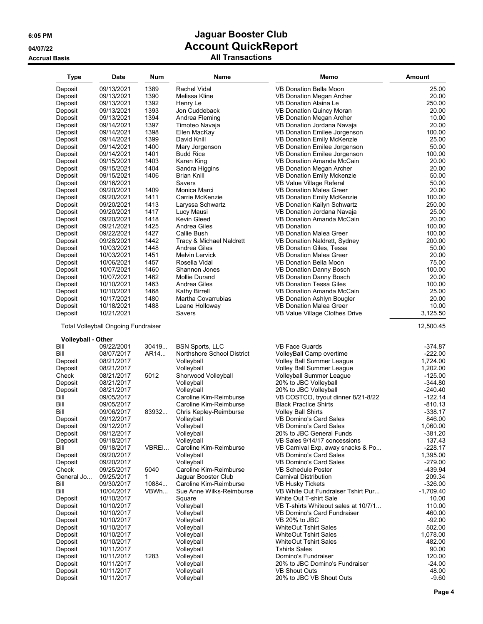| <b>Type</b>                              | <b>Date</b>              | <b>Num</b> | Name                       | Memo                                             | Amount           |
|------------------------------------------|--------------------------|------------|----------------------------|--------------------------------------------------|------------------|
| Deposit                                  | 09/13/2021               | 1389       | Rachel Vidal               | VB Donation Bella Moon                           | 25.00            |
| Deposit                                  | 09/13/2021               | 1390       | Melissa Kline              |                                                  | 20.00            |
|                                          |                          |            |                            | VB Donation Megan Archer                         |                  |
| Deposit                                  | 09/13/2021               | 1392       | Henry Le                   | VB Donation Alaina Le                            | 250.00           |
| Deposit                                  | 09/13/2021               | 1393       | Jon Cuddeback              | <b>VB Donation Quincy Moran</b>                  | 20.00            |
| Deposit                                  | 09/13/2021               | 1394       | Andrea Fleming             | VB Donation Megan Archer                         | 10.00            |
| Deposit                                  | 09/14/2021               | 1397       | Timoteo Navaja             | VB Donation Jordana Navaja                       | 20.00            |
| Deposit                                  | 09/14/2021               | 1398       | Ellen MacKay               | VB Donation Emilee Jorgenson                     | 100.00           |
| Deposit                                  | 09/14/2021               | 1399       | David Knill                | VB Donation Emily McKenzie                       | 25.00            |
| Deposit                                  | 09/14/2021               | 1400       | Mary Jorgenson             | VB Donation Emilee Jorgenson                     | 50.00            |
| Deposit                                  | 09/14/2021               | 1401       | <b>Budd Rice</b>           | VB Donation Emilee Jorgenson                     | 100.00           |
| Deposit                                  | 09/15/2021               | 1403       | Karen King                 | VB Donation Amanda McCain                        | 20.00            |
| Deposit                                  | 09/15/2021               | 1404       | Sandra Higgins             | VB Donation Megan Archer                         | 20.00            |
|                                          |                          | 1406       |                            |                                                  |                  |
| Deposit                                  | 09/15/2021               |            | Brian Knill                | <b>VB Donation Emily Mckenzie</b>                | 50.00            |
| Deposit                                  | 09/16/2021               |            | Savers                     | VB Value Village Referal                         | 50.00            |
| Deposit                                  | 09/20/2021               | 1409       | Monica Marci               | <b>VB Donation Malea Greer</b>                   | 20.00            |
| Deposit                                  | 09/20/2021               | 1411       | Carrie McKenzie            | VB Donation Emily McKenzie                       | 100.00           |
| Deposit                                  | 09/20/2021               | 1413       | Laryssa Schwartz           | VB Donation Kailyn Schwartz                      | 250.00           |
| Deposit                                  | 09/20/2021               | 1417       | Lucy Mausi                 | VB Donation Jordana Navaja                       | 25.00            |
| Deposit                                  | 09/20/2021               | 1418       | Kevin Gleed                | VB Donation Amanda McCain                        | 20.00            |
| Deposit                                  | 09/21/2021               | 1425       | Andrea Giles               | <b>VB Donation</b>                               | 100.00           |
| Deposit                                  | 09/22/2021               | 1427       | Callie Bush                | <b>VB Donation Malea Greer</b>                   | 100.00           |
| Deposit                                  | 09/28/2021               | 1442       | Tracy & Michael Naldrett   | VB Donation Naldrett, Sydney                     | 200.00           |
|                                          |                          |            | Andrea Giles               |                                                  |                  |
| Deposit                                  | 10/03/2021               | 1448       |                            | VB Donation Giles, Tessa                         | 50.00            |
| Deposit                                  | 10/03/2021               | 1451       | Melvin Lervick             | VB Donation Malea Greer                          | 20.00            |
| Deposit                                  | 10/06/2021               | 1457       | Rosella Vidal              | VB Donation Bella Moon                           | 75.00            |
| Deposit                                  | 10/07/2021               | 1460       | Shannon Jones              | VB Donation Danny Bosch                          | 100.00           |
| Deposit                                  | 10/07/2021               | 1462       | Mollie Durand              | VB Donation Danny Bosch                          | 20.00            |
| Deposit                                  | 10/10/2021               | 1463       | Andrea Giles               | <b>VB Donation Tessa Giles</b>                   | 100.00           |
| Deposit                                  | 10/10/2021               | 1468       | <b>Kathy Birrell</b>       | VB Donation Amanda McCain                        | 25.00            |
| Deposit                                  | 10/17/2021               | 1480       | Martha Covarrubias         | VB Donation Ashlyn Bougler                       | 20.00            |
| Deposit                                  | 10/18/2021               | 1488       | Leane Holloway             | <b>VB Donation Malea Greer</b>                   | 10.00            |
| Deposit                                  | 10/21/2021               |            | Savers                     | VB Value Village Clothes Drive                   | 3,125.50         |
| <b>Volleyball - Other</b>                |                          |            |                            |                                                  |                  |
| Bill                                     | 09/22/2001               | 30419      | <b>BSN Sports, LLC</b>     | <b>VB Face Guards</b>                            | $-374.87$        |
| Bill                                     | 08/07/2017               | AR14       | Northshore School District | VolleyBall Camp overtime                         | $-222.00$        |
| Deposit                                  | 08/21/2017               |            | Volleyball                 | Volley Ball Summer League                        | 1,724.00         |
| Deposit                                  | 08/21/2017               |            | Volleyball                 | Volley Ball Summer League                        | 1,202.00         |
| Check                                    | 08/21/2017               | 5012       | Shorwood Volleyball        | Volleyball Summer League                         | $-125.00$        |
| Deposit                                  | 08/21/2017               |            | Volleyball                 | 20% to JBC Volleyball                            |                  |
| Deposit                                  |                          |            |                            |                                                  |                  |
| Bill                                     |                          |            |                            |                                                  | $-344.80$        |
|                                          | 08/21/2017               |            | Volleyball                 | 20% to JBC Volleyball                            | $-240.40$        |
|                                          | 09/05/2017               |            | Caroline Kim-Reimburse     | VB COSTCO, tryout dinner 8/21-8/22               | $-122.14$        |
|                                          | 09/05/2017               |            | Caroline Kim-Reimburse     | <b>Black Practice Shirts</b>                     | $-810.13$        |
|                                          | 09/06/2017               | 83932      | Chris Kepley-Reimburse     | <b>Volley Ball Shirts</b>                        | -338.17          |
| Bill<br>Bill<br>Deposit                  | 09/12/2017               |            | Volleyball                 | VB Domino's Card Sales                           | 846.00           |
| Deposit                                  | 09/12/2017               |            | Volleyball                 | <b>VB Domino's Card Sales</b>                    | 1,060.00         |
|                                          | 09/12/2017               |            | Volleyball                 | 20% to JBC General Funds                         | $-381.20$        |
| Deposit<br>Deposit                       | 09/18/2017               |            |                            | VB Sales 9/14/17 concessions                     | 137.43           |
|                                          |                          |            | Volleyball                 |                                                  | $-228.17$        |
|                                          | 09/18/2017               | VBREI      | Caroline Kim-Reimburse     | VB Carnival Exp, away snacks & Po                |                  |
|                                          | 09/20/2017               |            | Volleyball                 | <b>VB Domino's Card Sales</b>                    | 1,395.00         |
|                                          | 09/20/2017               |            | Volleyball                 | <b>VB Domino's Card Sales</b>                    | $-279.00$        |
| Bill<br>Deposit<br>Deposit<br>Check      | 09/25/2017               | 5040       | Caroline Kim-Reimburse     | <b>VB Schedule Poster</b>                        | -439.94          |
| General Jo                               | 09/25/2017               | 1          | Jaguar Booster Club        | Carnival Distribution                            | 209.34           |
|                                          | 09/30/2017               | 10884      | Caroline Kim-Reimburse     | <b>VB Husky Tickets</b>                          | $-326.00$        |
| Bill<br>Bill                             | 10/04/2017               | VBWh       | Sue Anne Wilks-Reimburse   | VB White Out Fundraiser Tshirt Pur               | $-1,709.40$      |
| Deposit                                  | 10/10/2017               |            | Square                     | White Out T-shirt Sale                           | 10.00            |
| Deposit                                  | 10/10/2017               |            | Volleyball                 | VB T-shirts Whiteout sales at 10/7/1             | 110.00           |
| Deposit                                  | 10/10/2017               |            | Volleyball                 | VB Domino's Card Fundraiser                      | 460.00           |
|                                          | 10/10/2017               |            |                            | VB 20% to JBC                                    | $-92.00$         |
| Deposit                                  |                          |            | Volleyball                 |                                                  |                  |
|                                          | 10/10/2017               |            | Volleyball                 | <b>WhiteOut Tshirt Sales</b>                     | 502.00           |
| Deposit<br>Deposit                       | 10/10/2017               |            | Volleyball                 | <b>WhiteOut Tshirt Sales</b>                     | 1,078.00         |
|                                          | 10/10/2017               |            | Volleyball                 | WhiteOut Tshirt Sales                            | 482.00           |
|                                          | 10/11/2017               |            | Volleyball                 | <b>Tshirts Sales</b>                             | 90.00            |
|                                          | 10/11/2017               | 1283       | Volleyball                 | Domino's Fundraiser                              | 120.00           |
| Deposit<br>Deposit<br>Deposit<br>Deposit | 10/11/2017               |            | Volleyball                 | 20% to JBC Domino's Fundraiser                   | $-24.00$         |
| Deposit<br>Deposit                       | 10/11/2017<br>10/11/2017 |            | Volleyball<br>Volleyball   | <b>VB Shout Outs</b><br>20% to JBC VB Shout Outs | 48.00<br>$-9.60$ |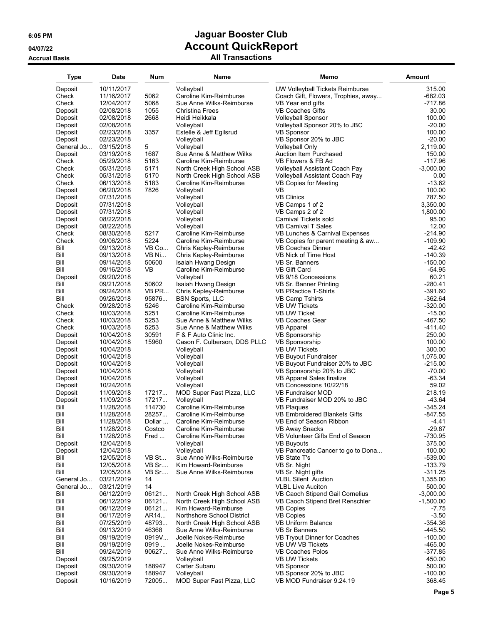| Type               | Date                     | Num    | Name                                 | Memo                                                    | <b>Amount</b>       |
|--------------------|--------------------------|--------|--------------------------------------|---------------------------------------------------------|---------------------|
| Deposit            | 10/11/2017               |        | Volleyball                           | UW Volleyball Tickets Reimburse                         | 315.00              |
| Check              | 11/16/2017               | 5062   | Caroline Kim-Reimburse               | Coach Gift, Flowers, Trophies, away                     | $-682.03$           |
| Check              | 12/04/2017               | 5068   | Sue Anne Wilks-Reimburse             | VB Year end gifts                                       | $-717.86$           |
| Deposit            | 02/08/2018               | 1055   | <b>Christina Frees</b>               | VB Coaches Gifts                                        | 30.00               |
| Deposit            | 02/08/2018               | 2668   | Heidi Heikkala                       | <b>Volleyball Sponsor</b>                               | 100.00              |
| Deposit            | 02/08/2018               |        | Volleyball                           | Volleyball Sponsor 20% to JBC                           | $-20.00$            |
| Deposit            | 02/23/2018               | 3357   | Estelle & Jeff Egilsrud              | <b>VB Sponsor</b>                                       | 100.00              |
| Deposit            | 02/23/2018               |        | Volleyball                           | VB Sponsor 20% to JBC                                   | $-20.00$            |
| General Jo         | 03/15/2018               | 5      | Volleyball                           | <b>Volleyball Only</b>                                  | 2,119.00            |
| Deposit            | 03/19/2018               | 1687   | Sue Anne & Matthew Wilks             | Auction Item Purchased                                  | 150.00              |
| Check              | 05/29/2018               | 5163   | Caroline Kim-Reimburse               | VB Flowers & FB Ad                                      | $-117.96$           |
| Check              | 05/31/2018               | 5171   | North Creek High School ASB          | Volleyball Assistant Coach Pay                          | $-3,000.00$         |
| Check              | 05/31/2018               | 5170   | North Creek High School ASB          | Volleyball Assistant Coach Pay                          | 0.00                |
| Check              | 06/13/2018               | 5183   | Caroline Kim-Reimburse               | <b>VB Copies for Meeting</b>                            | $-13.62$            |
| Deposit            | 06/20/2018               | 7826   | Volleyball                           | VB                                                      | 100.00              |
| Deposit            | 07/31/2018               |        | Volleyball                           | <b>VB Clinics</b>                                       | 787.50              |
| Deposit            | 07/31/2018               |        | Volleyball                           | VB Camps 1 of 2                                         | 3,350.00            |
| Deposit            | 07/31/2018               |        | Volleyball                           | VB Camps 2 of 2                                         | 1,800.00            |
| Deposit            | 08/22/2018<br>08/22/2018 |        | Volleyball                           | Carnival Tickets sold                                   | 95.00               |
| Deposit<br>Check   | 08/30/2018               | 5217   | Volleyball<br>Caroline Kim-Reimburse | VB Carnival T Sales<br>VB Lunches & Carnival Expenses   | 12.00<br>$-214.90$  |
| Check              | 09/06/2018               | 5224   | Caroline Kim-Reimburse               | VB Copies for parent meeting & aw                       | $-109.90$           |
| Bill               | 09/13/2018               | VB Co  | Chris Kepley-Reimburse               | <b>VB Coaches Dinner</b>                                | $-42.42$            |
| Bill               | 09/13/2018               | VB Ni  | Chris Kepley-Reimburse               | VB Nick of Time Host                                    | $-140.39$           |
| Bill               | 09/14/2018               | 50600  | Isaiah Hwang Design                  | VB Sr. Banners                                          | $-150.00$           |
| Bill               | 09/16/2018               | VB     | Caroline Kim-Reimburse               | <b>VB Gift Card</b>                                     | $-54.95$            |
| Deposit            | 09/20/2018               |        | Volleyball                           | VB 9/18 Concessions                                     | 60.21               |
| Bill               | 09/21/2018               | 50602  | Isaiah Hwang Design                  | VB Sr. Banner Printing                                  | $-280.41$           |
| Bill               | 09/24/2018               | VB PR  | Chris Kepley-Reimburse               | <b>VB PRactice T-Shirts</b>                             | $-391.60$           |
| Bill               | 09/26/2018               | 95876  | <b>BSN Sports, LLC</b>               | <b>VB Camp Tshirts</b>                                  | $-362.64$           |
| Check              | 09/28/2018               | 5246   | Caroline Kim-Reimburse               | <b>VB UW Tickets</b>                                    | $-320.00$           |
| Check              | 10/03/2018               | 5251   | Caroline Kim-Reimburse               | <b>VB UW Ticket</b>                                     | $-15.00$            |
| Check              | 10/03/2018               | 5253   | Sue Anne & Matthew Wilks             | VB Coaches Gear                                         | -467.50             |
| Check              | 10/03/2018               | 5253   | Sue Anne & Matthew Wilks             | <b>VB Apparel</b>                                       | $-411.40$           |
| Deposit            | 10/04/2018               | 30591  | F & F Auto Clinic Inc.               | <b>VB Sponsorship</b>                                   | 250.00              |
| Deposit            | 10/04/2018               | 15960  | Cason F. Culberson, DDS PLLC         | <b>VB Sponsorship</b>                                   | 100.00              |
| Deposit            | 10/04/2018               |        | Volleyball                           | <b>VB UW Tickets</b>                                    | 300.00              |
| Deposit            | 10/04/2018               |        | Volleyball                           | VB Buyout Fundraiser                                    | 1,075.00            |
| Deposit            | 10/04/2018               |        | Volleyball                           | VB Buyout Fundraiser 20% to JBC                         | $-215.00$           |
| Deposit            | 10/04/2018               |        | Volleyball                           | VB Sponsorship 20% to JBC                               | $-70.00$            |
| Deposit            | 10/04/2018               |        | Volleyball                           | VB Apparel Sales finalize                               | $-63.34$            |
| Deposit            | 10/24/2018               |        | Volleyball                           | VB Concessions 10/22/18                                 | 59.02               |
| Deposit            | 11/09/2018               | 17217  | MOD Super Fast Pizza, LLC            | <b>VB Fundraiser MOD</b>                                | 218.19              |
| Deposit            | 11/09/2018               | 17217  | Volleyball                           | VB Fundraiser MOD 20% to JBC                            | $-43.64$            |
| Bill               | 11/28/2018               | 114730 | Caroline Kim-Reimburse               | <b>VB Plaques</b>                                       | $-345.24$           |
| Bill               | 11/28/2018               | 28257  | Caroline Kim-Reimburse               | VB Embroidered Blankets Gifts                           | $-847.55$           |
| Bill               | 11/28/2018               | Dollar | Caroline Kim-Reimburse               | VB End of Season Ribbon                                 | $-4.41$             |
| Bill               | 11/28/2018               | Costco | Caroline Kim-Reimburse               | <b>VB Away Snacks</b>                                   | -29.87              |
| Bill               | 11/28/2018               | Fred   | Caroline Kim-Reimburse<br>Volleyball | VB Volunteer Gifts End of Season                        | $-730.95$<br>375.00 |
| Deposit<br>Deposit | 12/04/2018<br>12/04/2018 |        | Volleyball                           | <b>VB Buyouts</b><br>VB Pancreatic Cancer to go to Dona | 100.00              |
| Bill               | 12/05/2018               | VB St  | Sue Anne Wilks-Reimburse             | VB State T's                                            | $-539.00$           |
| Bill               | 12/05/2018               | VB Sr  | Kim Howard-Reimburse                 | VB Sr. Night                                            | $-133.79$           |
| Bill               | 12/05/2018               | VB Sr  | Sue Anne Wilks-Reimburse             | VB Sr. Night gifts                                      | $-311.25$           |
| General Jo         | 03/21/2019               | 14     |                                      | <b>VLBL Silent Auction</b>                              | 1,355.00            |
| General Jo         | 03/21/2019               | 14     |                                      | <b>VLBL Live Auciton</b>                                | 500.00              |
| Bill               | 06/12/2019               | 06121  | North Creek High School ASB          | VB Caoch Stipend Gail Cornelius                         | $-3,000.00$         |
| Bill               | 06/12/2019               | 06121  | North Creek High School ASB          | VB Caoch Stipend Bret Renschler                         | $-1,500.00$         |
| Bill               | 06/12/2019               | 06121  | Kim Howard-Reimburse                 | <b>VB Copies</b>                                        | $-7.75$             |
| Bill               | 06/17/2019               | AR14   | Northshore School District           | <b>VB Copies</b>                                        | $-3.50$             |
| Bill               | 07/25/2019               | 48793  | North Creek High School ASB          | VB Uniform Balance                                      | $-354.36$           |
| Bill               | 09/13/2019               | 46368  | Sue Anne Wilks-Reimburse             | <b>VB Sr Banners</b>                                    | $-445.50$           |
| Bill               | 09/19/2019               | 0919V  | Joelle Nokes-Reimburse               | VB Tryout Dinner for Coaches                            | $-100.00$           |
| Bill               | 09/19/2019               | 0919   | Joelle Nokes-Reimburse               | VB UW VB Tickets                                        | $-465.00$           |
| Bill               | 09/24/2019               | 90627  | Sue Anne Wilks-Reimburse             | <b>VB Coaches Polos</b>                                 | -377.85             |
| Deposit            | 09/25/2019               |        | Volleyball                           | <b>VB UW Tickets</b>                                    | 450.00              |
| Deposit            | 09/30/2019               | 188947 | Carter Subaru                        | <b>VB Sponsor</b>                                       | 500.00              |
| Deposit            | 09/30/2019               | 188947 | Volleyball                           | VB Sponsor 20% to JBC                                   | $-100.00$           |
| Deposit            | 10/16/2019               | 72005  | MOD Super Fast Pizza, LLC            | VB MOD Fundraiser 9.24.19                               | 368.45              |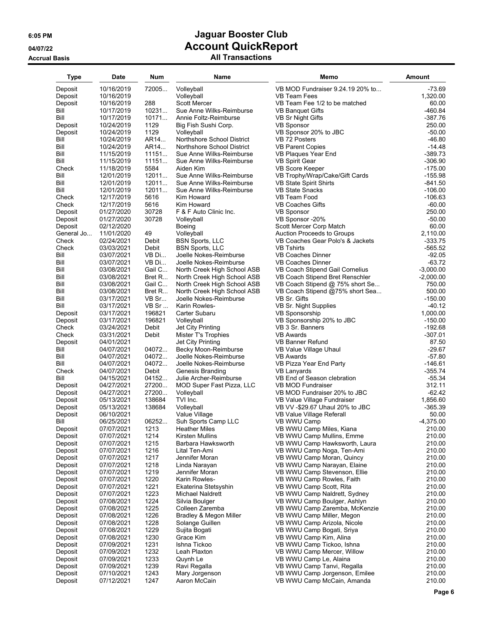| Type       | Date       | Num    | Name                        | Memo                              | Amount      |
|------------|------------|--------|-----------------------------|-----------------------------------|-------------|
| Deposit    | 10/16/2019 | 72005  | Volleyball                  | VB MOD Fundraiser 9.24.19 20% to  | $-73.69$    |
| Deposit    | 10/16/2019 |        | Volleyball                  | <b>VB Team Fees</b>               | 1,320.00    |
| Deposit    | 10/16/2019 | 288    | <b>Scott Mercer</b>         | VB Team Fee 1/2 to be matched     | 60.00       |
| Bill       | 10/17/2019 | 10231  | Sue Anne Wilks-Reimburse    | VB Banquet Gifts                  | $-460.84$   |
| Bill       | 10/17/2019 | 10171  | Annie Foltz-Reimburse       | VB Sr Night Gifts                 | $-387.76$   |
| Deposit    | 10/24/2019 | 1129   | Big Fish Sushi Corp.        | <b>VB Sponsor</b>                 | 250.00      |
| Deposit    | 10/24/2019 | 1129   | Volleyball                  | VB Sponsor 20% to JBC             | $-50.00$    |
| Bill       | 10/24/2019 | AR14   | Northshore School District  | VB 72 Posters                     | $-46.80$    |
| Bill       | 10/24/2019 | AR14   | Northshore School District  | <b>VB Parent Copies</b>           | $-14.48$    |
| Bill       | 11/15/2019 | 11151  | Sue Anne Wilks-Reimburse    | VB Plaques Year End               | $-389.73$   |
| Bill       | 11/15/2019 | 11151  | Sue Anne Wilks-Reimburse    | <b>VB Spirit Gear</b>             | $-306.90$   |
| Check      | 11/18/2019 | 5584   | Aiden Kim                   | VB Score Keeper                   | $-175.00$   |
| Bill       | 12/01/2019 | 12011  | Sue Anne Wilks-Reimburse    | VB Trophy/Wrap/Cake/Gift Cards    | $-155.98$   |
| Bill       | 12/01/2019 | 12011  | Sue Anne Wilks-Reimburse    | VB State Spirit Shirts            | $-841.50$   |
| Bill       | 12/01/2019 | 12011  | Sue Anne Wilks-Reimburse    | <b>VB State Snacks</b>            | $-106.00$   |
| Check      | 12/17/2019 | 5616   | Kim Howard                  | VB Team Food                      | $-106.63$   |
| Check      | 12/17/2019 | 5616   | Kim Howard                  | <b>VB Coaches Gifts</b>           | $-60.00$    |
| Deposit    | 01/27/2020 | 30728  | F & F Auto Clinic Inc.      | <b>VB Sponsor</b>                 | 250.00      |
| Deposit    | 01/27/2020 | 30728  | Volleyball                  | VB Sponsor -20%                   | $-50.00$    |
| Deposit    | 02/12/2020 |        | Boeing                      | Scott Mercer Corp Match           | 60.00       |
| General Jo | 11/01/2020 | 49     | Volleyball                  | <b>Auction Proceeds to Groups</b> | 2,110.00    |
| Check      | 02/24/2021 | Debit  | <b>BSN Sports, LLC</b>      | VB Coaches Gear Polo's & Jackets  | $-333.75$   |
| Check      | 03/03/2021 | Debit  | <b>BSN Sports, LLC</b>      | <b>VB Tshirts</b>                 | $-565.52$   |
| Bill       | 03/07/2021 | VB Di  | Joelle Nokes-Reimburse      | VB Coaches Dinner                 | $-92.05$    |
| Bill       | 03/07/2021 | VB Di  | Joelle Nokes-Reimburse      | <b>VB Coaches Dinner</b>          | $-63.72$    |
| Bill       | 03/08/2021 | Gail C | North Creek High School ASB | VB Coach Stipend Gail Cornelius   | $-3,000.00$ |
| Bill       | 03/08/2021 | Bret R | North Creek High School ASB | VB Coach Stipend Bret Renschler   | $-2,000.00$ |
| Bill       | 03/08/2021 | Gail C | North Creek High School ASB | VB Coach Stipend @ 75% short Se   | 750.00      |
| Bill       | 03/08/2021 | Bret R | North Creek High School ASB | VB Coach Stipend @75% short Sea   | 500.00      |
| Bill       | 03/17/2021 | VB Sr  | Joelle Nokes-Reimburse      | VB Sr. Gifts                      | $-150.00$   |
| Bill       | 03/17/2021 | VB Sr  | Karin Rowles-               | VB Sr. Night Supplies             | $-40.12$    |
| Deposit    | 03/17/2021 | 196821 | Carter Subaru               | VB Sponsorship                    | 1,000.00    |
| Deposit    | 03/17/2021 | 196821 | Volleyball                  | VB Sponsorship 20% to JBC         | $-150.00$   |
| Check      | 03/24/2021 | Debit  | Jet City Printing           | VB 3 Sr. Banners                  | $-192.68$   |
| Check      | 03/31/2021 | Debit  | Mister T's Trophies         | <b>VB Awards</b>                  | $-307.01$   |
| Deposit    | 04/01/2021 |        | Jet City Printing           | <b>VB Banner Refund</b>           | 87.50       |
| Bill       | 04/07/2021 | 04072  | Becky Moon-Reimburse        | VB Value Village Uhaul            | $-29.67$    |
| Bill       | 04/07/2021 | 04072  | Joelle Nokes-Reimburse      | <b>VB Awards</b>                  | $-57.80$    |
| Bill       | 04/07/2021 | 04072  | Joelle Nokes-Reimburse      | VB Pizza Year End Party           | $-146.61$   |
| Check      | 04/07/2021 | Debit  | Genesis Branding            | VB Lanyards                       | $-355.74$   |
| Bill       | 04/15/2021 | 04152  | Julie Archer-Reimburse      | VB End of Season clebration       | $-55.34$    |
| Deposit    | 04/27/2021 | 27200  | MOD Super Fast Pizza, LLC   | <b>VB MOD Fundraiser</b>          | 312.11      |
| Deposit    | 04/27/2021 | 27200  | Volleyball                  | VB MOD Fundraiser 20% to JBC      | $-62.42$    |
| Deposit    | 05/13/2021 | 138684 | TVI Inc.                    | VB Value Village Fundraiser       | 1,856.60    |
| Deposit    | 05/13/2021 | 138684 | Volleyball                  | VB VV -\$29.67 Uhaul 20% to JBC   | $-365.39$   |
| Deposit    | 06/10/2021 |        | Value Village               | VB Value Village Referall         | 50.00       |
| Bill       | 06/25/2021 | 06252  | Suh Sports Camp LLC         | VB WWU Camp                       | $-4,375.00$ |
| Deposit    | 07/07/2021 | 1213   | <b>Heather Miles</b>        | VB WWU Camp Miles, Kiana          | 210.00      |
| Deposit    | 07/07/2021 | 1214   | Kirsten Mullins             | VB WWU Camp Mullins, Emme         | 210.00      |
| Deposit    | 07/07/2021 | 1215   | Barbara Hawksworth          | VB WWU Camp Hawksworth, Laura     | 210.00      |
| Deposit    | 07/07/2021 | 1216   | Lital Ten-Ami               | VB WWU Camp Noga, Ten-Ami         | 210.00      |
| Deposit    | 07/07/2021 | 1217   | Jennifer Moran              | VB WWU Camp Moran, Quincy         | 210.00      |
| Deposit    | 07/07/2021 | 1218   | Linda Narayan               | VB WWU Camp Narayan, Elaine       | 210.00      |
| Deposit    | 07/07/2021 | 1219   | Jennifer Moran              | VB WWU Camp Stevenson, Ellie      | 210.00      |
| Deposit    | 07/07/2021 | 1220   | Karin Rowles-               | VB WWU Camp Rowles, Faith         | 210.00      |
| Deposit    | 07/07/2021 | 1221   | Ekaterina Stetsyshin        | VB WWU Camp Scott, Rita           | 210.00      |
| Deposit    | 07/07/2021 | 1223   | Michael Naldrett            | VB WWU Camp Naldrett, Sydney      | 210.00      |
| Deposit    | 07/08/2021 | 1224   | Silvia Boulger              | VB WWU Camp Boulger, Ashlyn       | 210.00      |
| Deposit    | 07/08/2021 | 1225   | Colleen Zaremba             | VB WWU Camp Zaremba, McKenzie     | 210.00      |
| Deposit    | 07/08/2021 | 1226   | Bradley & Megon Miller      | VB WWU Camp Miller, Megon         | 210.00      |
| Deposit    | 07/08/2021 | 1228   | Solange Guillen             | VB WWU Camp Arizola, Nicole       | 210.00      |
| Deposit    | 07/08/2021 | 1229   | Sujita Bogati               | VB WWU Camp Bogati, Sriya         | 210.00      |
| Deposit    | 07/08/2021 | 1230   | Grace Kim                   | VB WWU Camp Kim, Alina            | 210.00      |
| Deposit    | 07/09/2021 | 1231   | Ishna Tickoo                | VB WWU Camp Tickoo, Ishna         | 210.00      |
| Deposit    | 07/09/2021 | 1232   | Leah Plaxton                | VB WWU Camp Mercer, Willow        | 210.00      |
| Deposit    | 07/09/2021 | 1233   | Quynh Le                    | VB WWU Camp Le, Alaina            | 210.00      |
| Deposit    | 07/09/2021 | 1239   | Ravi Regalla                | VB WWU Camp Tanvi, Regalla        | 210.00      |
| Deposit    | 07/10/2021 | 1243   | Mary Jorgenson              | VB WWU Camp Jorgenson, Emilee     | 210.00      |
| Deposit    | 07/12/2021 | 1247   | Aaron McCain                | VB WWU Camp McCain, Amanda        | 210.00      |